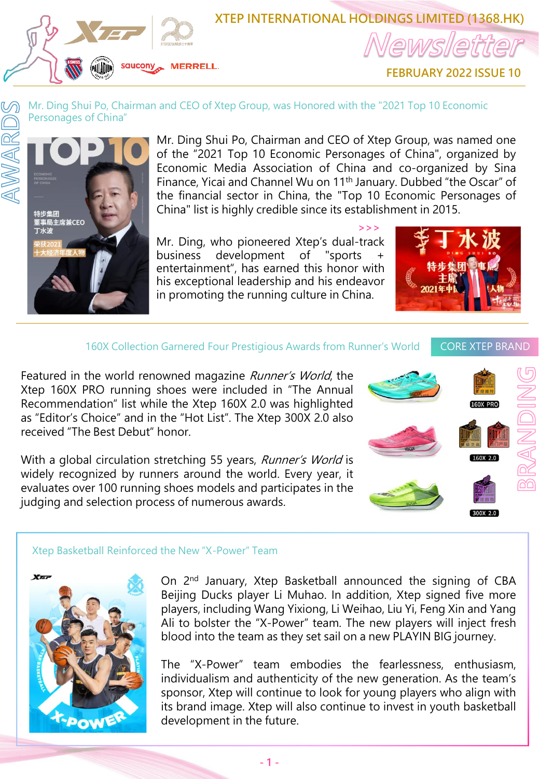

# **XTEP INTERNATIONAL HOLDINGS LIMITED (1368.HK)**

**FEBRUARY 2022 ISSUE 10**

### Mr. Ding Shui Po, Chairman and CEO of Xtep Group, was Honored with the "2021 Top 10 Economic Personages of China"



Mr. Ding Shui Po, Chairman and CEO of Xtep Group, was named one of the "2021 Top 10 Economic Personages of China", organized by Economic Media Association of China and co-organized by Sina Finance, Yicai and Channel Wu on 11th January. Dubbed "the Oscar" of the financial sector in China, the "Top 10 Economic Personages of China" list is highly credible since its establishment in 2015.

**<<<**

Mr. Ding, who pioneered Xtep's dual-track business development of "sports + entertainment", has earned this honor with his exceptional leadership and his endeavor in promoting the running culture in China.



### 160X Collection Garnered Four Prestigious Awards from Runner's World CORE XTEP BRAND

 $300X$  2.0

**R** രി

Featured in the world renowned magazine Runner's World, the Xtep 160X PRO running shoes were included in "The Annual Recommendation" list while the Xtep 160X 2.0 was highlighted as "Editor's Choice" and in the "Hot List". The Xtep 300X 2.0 also received "The Best Debut" honor.

With a global circulation stretching 55 years, Runner's World is widely recognized by runners around the world. Every year, it evaluates over 100 running shoes models and participates in the judging and selection process of numerous awards.





On 2<sup>nd</sup> January, Xtep Basketball announced the signing of CBA Beijing Ducks player Li Muhao. In addition, Xtep signed five more players, including Wang Yixiong, Li Weihao, Liu Yi, Feng Xin and Yang Ali to bolster the "X-Power" team. The new players will inject fresh blood into the team as they set sail on a new PLAYIN BIG journey.

The "X-Power" team embodies the fearlessness, enthusiasm, individualism and authenticity of the new generation. As the team's sponsor, Xtep will continue to look for young players who align with its brand image. Xtep will also continue to invest in youth basketball development in the future.